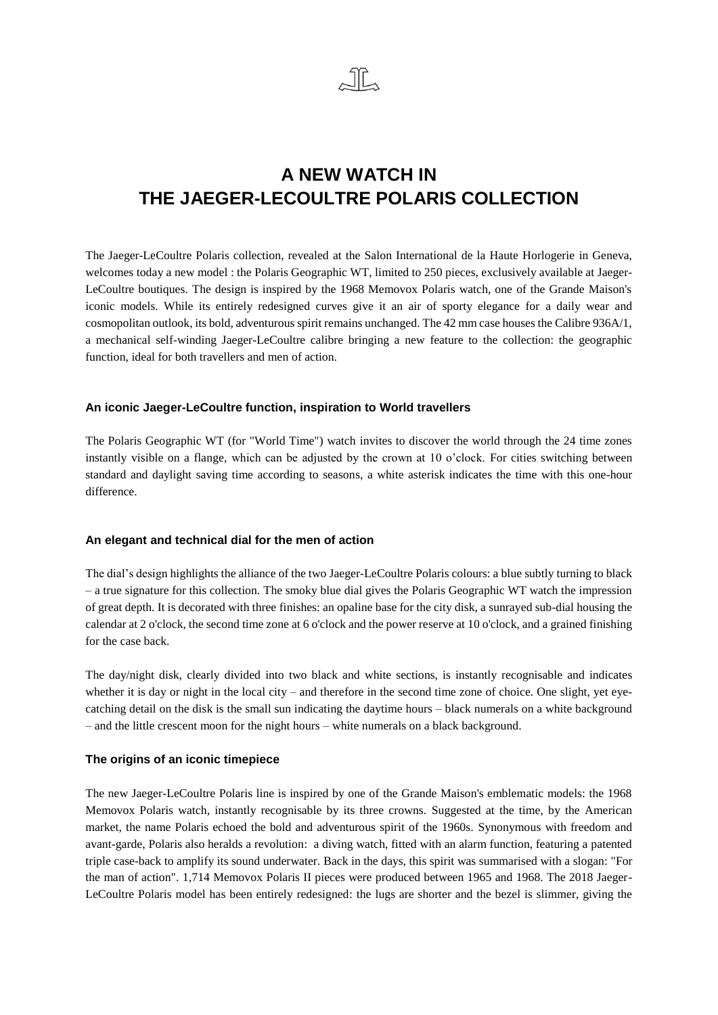

# **A NEW WATCH IN THE JAEGER-LECOULTRE POLARIS COLLECTION**

The Jaeger-LeCoultre Polaris collection, revealed at the Salon International de la Haute Horlogerie in Geneva, welcomes today a new model : the Polaris Geographic WT, limited to 250 pieces, exclusively available at Jaeger-LeCoultre boutiques. The design is inspired by the 1968 Memovox Polaris watch, one of the Grande Maison's iconic models. While its entirely redesigned curves give it an air of sporty elegance for a daily wear and cosmopolitan outlook, its bold, adventurous spirit remains unchanged. The 42 mm case houses the Calibre 936A/1, a mechanical self-winding Jaeger-LeCoultre calibre bringing a new feature to the collection: the geographic function, ideal for both travellers and men of action.

## **An iconic Jaeger-LeCoultre function, inspiration to World travellers**

The Polaris Geographic WT (for "World Time") watch invites to discover the world through the 24 time zones instantly visible on a flange, which can be adjusted by the crown at 10 o'clock. For cities switching between standard and daylight saving time according to seasons, a white asterisk indicates the time with this one-hour difference.

## **An elegant and technical dial for the men of action**

The dial's design highlights the alliance of the two Jaeger-LeCoultre Polaris colours: a blue subtly turning to black – a true signature for this collection. The smoky blue dial gives the Polaris Geographic WT watch the impression of great depth. It is decorated with three finishes: an opaline base for the city disk, a sunrayed sub-dial housing the calendar at 2 o'clock, the second time zone at 6 o'clock and the power reserve at 10 o'clock, and a grained finishing for the case back.

The day/night disk, clearly divided into two black and white sections, is instantly recognisable and indicates whether it is day or night in the local city – and therefore in the second time zone of choice. One slight, yet eyecatching detail on the disk is the small sun indicating the daytime hours – black numerals on a white background – and the little crescent moon for the night hours – white numerals on a black background.

## **The origins of an iconic timepiece**

The new Jaeger-LeCoultre Polaris line is inspired by one of the Grande Maison's emblematic models: the 1968 Memovox Polaris watch, instantly recognisable by its three crowns. Suggested at the time, by the American market, the name Polaris echoed the bold and adventurous spirit of the 1960s. Synonymous with freedom and avant-garde, Polaris also heralds a revolution: a diving watch, fitted with an alarm function, featuring a patented triple case-back to amplify its sound underwater. Back in the days, this spirit was summarised with a slogan: "For the man of action". 1,714 Memovox Polaris II pieces were produced between 1965 and 1968. The 2018 Jaeger-LeCoultre Polaris model has been entirely redesigned: the lugs are shorter and the bezel is slimmer, giving the